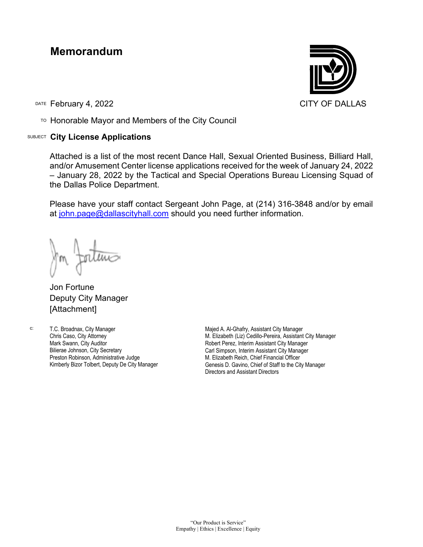## **Memorandum**

DATE February 4, 2022 **CITY OF DALLAS** 

TO Honorable Mayor and Members of the City Council

## SUBJECT **City License Applications**



Attached is a list of the most recent Dance Hall, Sexual Oriented Business, Billiard Hall, and/or Amusement Center license applications received for the week of January 24, 2022 – January 28, 2022 by the Tactical and Special Operations Bureau Licensing Squad of the Dallas Police Department.

Please have your staff contact Sergeant John Page, at (214) 316-3848 and/or by email at [john.page@dallascityhall.com](mailto:john.page@dallascityhall.com) should you need further information.

Jon Fortune Deputy City Manager [Attachment]

c: T.C. Broadnax, City Manager Chris Caso, City Attorney Mark Swann, City Auditor Bilierae Johnson, City Secretary Preston Robinson, Administrative Judge Kimberly Bizor Tolbert, Deputy De City Manager

Majed A. Al-Ghafry, Assistant City Manager M. Elizabeth (Liz) Cedillo-Pereira, Assistant City Manager Robert Perez, Interim Assistant City Manager Carl Simpson, Interim Assistant City Manager M. Elizabeth Reich, Chief Financial Officer Genesis D. Gavino, Chief of Staff to the City Manager Directors and Assistant Directors